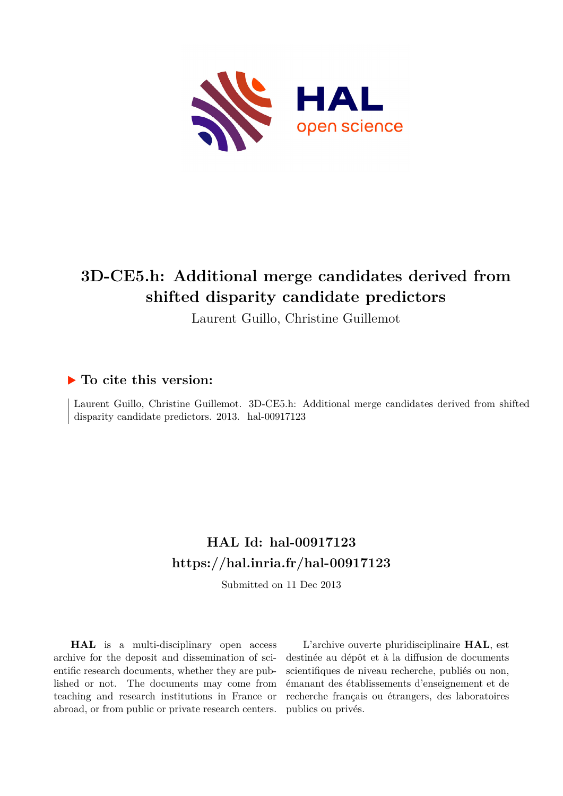

# **3D-CE5.h: Additional merge candidates derived from shifted disparity candidate predictors**

Laurent Guillo, Christine Guillemot

### **To cite this version:**

Laurent Guillo, Christine Guillemot. 3D-CE5.h: Additional merge candidates derived from shifted disparity candidate predictors.  $2013.$  hal-00917123

## **HAL Id: hal-00917123 <https://hal.inria.fr/hal-00917123>**

Submitted on 11 Dec 2013

**HAL** is a multi-disciplinary open access archive for the deposit and dissemination of scientific research documents, whether they are published or not. The documents may come from teaching and research institutions in France or abroad, or from public or private research centers.

L'archive ouverte pluridisciplinaire **HAL**, est destinée au dépôt et à la diffusion de documents scientifiques de niveau recherche, publiés ou non, émanant des établissements d'enseignement et de recherche français ou étrangers, des laboratoires publics ou privés.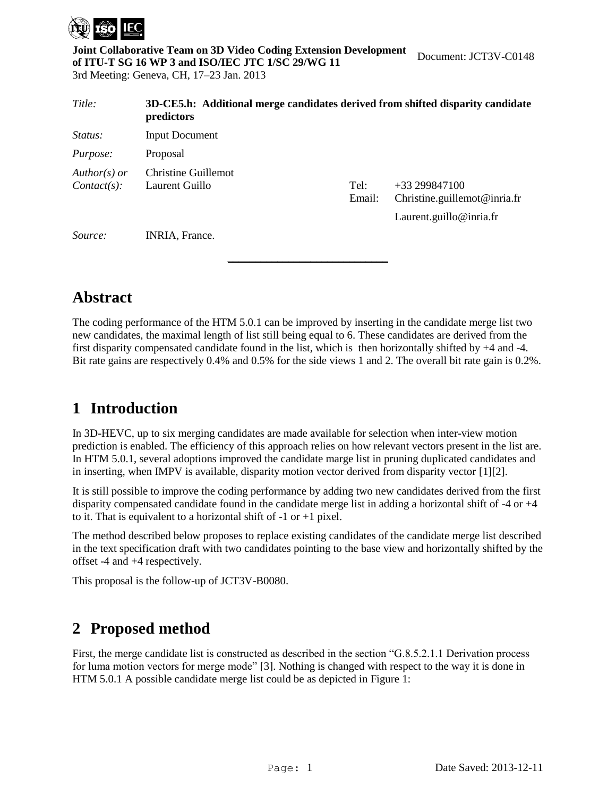

**Joint Collaborative Team on 3D Video Coding Extension Development of ITU-T SG 16 WP 3 and ISO/IEC JTC 1/SC 29/WG 11**  3rd Meeting: Geneva, CH, 17–23 Jan. 2013 Document: JCT3V-C0148

| Title:                           | 3D-CE5.h: Additional merge candidates derived from shifted disparity candidate<br>predictors |                |                                                                           |  |  |  |  |
|----------------------------------|----------------------------------------------------------------------------------------------|----------------|---------------------------------------------------------------------------|--|--|--|--|
| <i>Status:</i>                   | <b>Input Document</b>                                                                        |                |                                                                           |  |  |  |  |
| <i>Purpose:</i>                  | Proposal                                                                                     |                |                                                                           |  |  |  |  |
| $Author(s)$ or<br>$Context(s)$ : | Christine Guillemot<br>Laurent Guillo                                                        | Tel:<br>Email: | $+33299847100$<br>Christine.guillemot@inria.fr<br>Laurent.guillo@inria.fr |  |  |  |  |
| Source:                          | <b>INRIA</b> , France.                                                                       |                |                                                                           |  |  |  |  |

### **Abstract**

The coding performance of the HTM 5.0.1 can be improved by inserting in the candidate merge list two new candidates, the maximal length of list still being equal to 6. These candidates are derived from the first disparity compensated candidate found in the list, which is then horizontally shifted by +4 and -4. Bit rate gains are respectively 0.4% and 0.5% for the side views 1 and 2. The overall bit rate gain is 0.2%.

### **1 Introduction**

In 3D-HEVC, up to six merging candidates are made available for selection when inter-view motion prediction is enabled. The efficiency of this approach relies on how relevant vectors present in the list are. In HTM 5.0.1, several adoptions improved the candidate marge list in pruning duplicated candidates and in inserting, when IMPV is available, disparity motion vector derived from disparity vector [\[1\]\[2\].](#page-5-0)

It is still possible to improve the coding performance by adding two new candidates derived from the first disparity compensated candidate found in the candidate merge list in adding a horizontal shift of -4 or +4 to it. That is equivalent to a horizontal shift of  $-1$  or  $+1$  pixel.

The method described below proposes to replace existing candidates of the candidate merge list described in the text specification draft with two candidates pointing to the base view and horizontally shifted by the offset -4 and +4 respectively.

This proposal is the follow-up of JCT3V-B0080.

### **2 Proposed method**

First, the merge candidate list is constructed as described in the section "G.8.5.2.1.1 Derivation process for luma motion vectors for merge mode" [\[3\].](#page-5-1) Nothing is changed with respect to the way it is done in HTM 5.0.1 A possible candidate merge list could be as depicted in [Figure 1:](#page-2-0)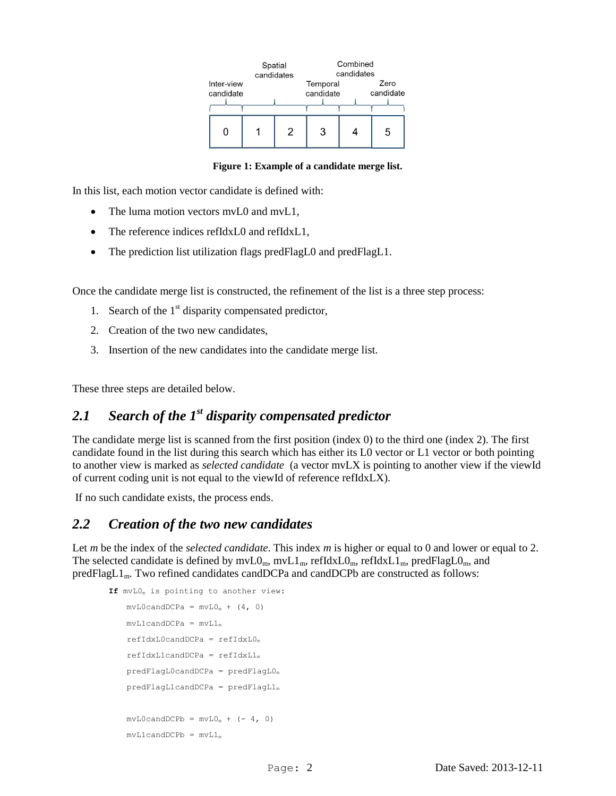| Inter-view<br>candidate | Spatial<br>candidates |   | Combined<br>candidates<br>Temporal<br>candidate<br>candidate |   |  |
|-------------------------|-----------------------|---|--------------------------------------------------------------|---|--|
| 0                       | 2                     | З |                                                              | 5 |  |

#### **Figure 1: Example of a candidate merge list.**

<span id="page-2-0"></span>In this list, each motion vector candidate is defined with:

- The luma motion vectors mvL0 and mvL1,
- The reference indices refIdxL0 and refIdxL1,
- The prediction list utilization flags predFlagL0 and predFlagL1.

Once the candidate merge list is constructed, the refinement of the list is a three step process:

- 1. Search of the  $1<sup>st</sup>$  disparity compensated predictor,
- 2. Creation of the two new candidates,
- 3. Insertion of the new candidates into the candidate merge list.

These three steps are detailed below.

#### *2.1 Search of the 1st disparity compensated predictor*

The candidate merge list is scanned from the first position (index 0) to the third one (index 2). The first candidate found in the list during this search which has either its L0 vector or L1 vector or both pointing to another view is marked as *selected candidate* (a vector mvLX is pointing to another view if the viewId of current coding unit is not equal to the viewId of reference refIdxLX).

If no such candidate exists, the process ends.

#### *2.2 Creation of the two new candidates*

Let *m* be the index of the *selected candidate*. This index *m* is higher or equal to 0 and lower or equal to 2. The selected candidate is defined by  $mvL0_m$ ,  $mvL1_m$ ,  $refldxL0_m$ ,  $refldxL1_m$ ,  $predFlagL0_m$ , and predFlagL1<sub>m</sub>. Two refined candidates candDCPa and candDCPb are constructed as follows:

```
If mvL0m is pointing to another view:
    mvLOcandDCPa = mvLO<sub>m</sub> + (4, 0)mvL1candDCPa = mvL1<sub>m</sub>refIdxLocalOcandDCPa = refIdxL0<sub>m</sub>refIdxL1candDCPa = refIdxL1<sub>m</sub>predFlagL0candDCPa = predFlagL0m
    predFlagL1candDCPa = predFlagL1<sub>m</sub>mvLOcandDCPb = mvL0<sub>m</sub> + (-4, 0)mvL1candDCPb = mvL1<sub>m</sub>
```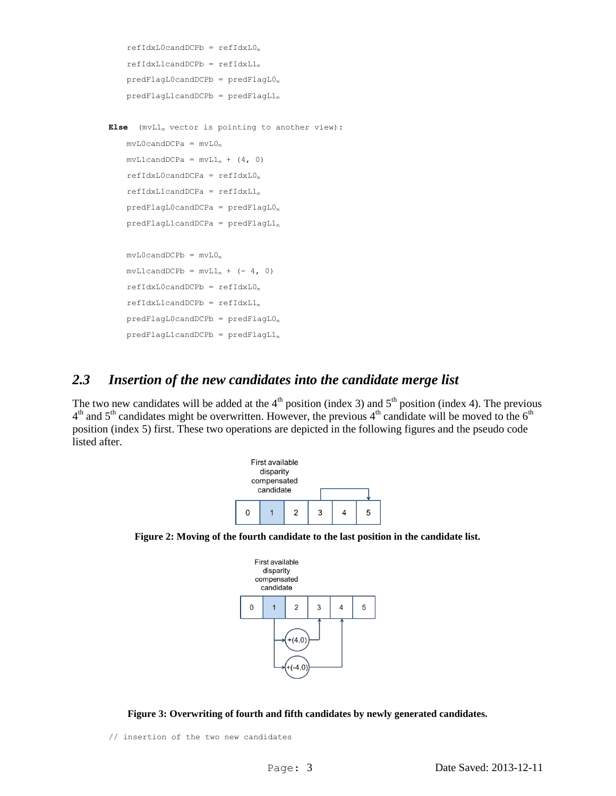```
refIdxL0candDCPb = refIdxL0<sub>m</sub>refIdxL1candDCPb = refIdxL1<sub>m</sub>predFlagL0candDCPb = predFlagL0<sub>m</sub>predFlagL1candDCPb = predFlagL1<sub>m</sub>
```

```
Else (mvL1m vector is pointing to another view):
    mvLOcandDCPa = mvLO<sub>m</sub>mvL1candDCPa = mvL1<sub>m</sub> + (4, 0)refIdxLocalCPa = refIdxL0<sub>m</sub>refIdxL1candDCPa = refIdxL1<sub>m</sub>predFlagL0candDCPa = predFlagL0m
    predFlagL1candDCPa = predFlagL1<sub>m</sub>mvLOcandDCPb = mvLO<sub>m</sub>mvL1candDCPb = mvL1_m + (-4, 0)refIdxLocalOcandDCPb = refIdxLO<sub>m</sub>refIdxL1candDCPb = refIdxL1<sub>m</sub>predFlagL0candDCPb = predFlagL0<sub>m</sub>predFlagL1candDCPb = predFlagL1<sub>m</sub>
```
#### *2.3 Insertion of the new candidates into the candidate merge list*

The two new candidates will be added at the  $4<sup>th</sup>$  position (index 3) and  $5<sup>th</sup>$  position (index 4). The previous  $4<sup>th</sup>$  and  $5<sup>th</sup>$  candidates might be overwritten. However, the previous  $4<sup>th</sup>$  candidate will be moved to the  $6<sup>th</sup>$ position (index 5) first. These two operations are depicted in the following figures and the pseudo code listed after.









// insertion of the two new candidates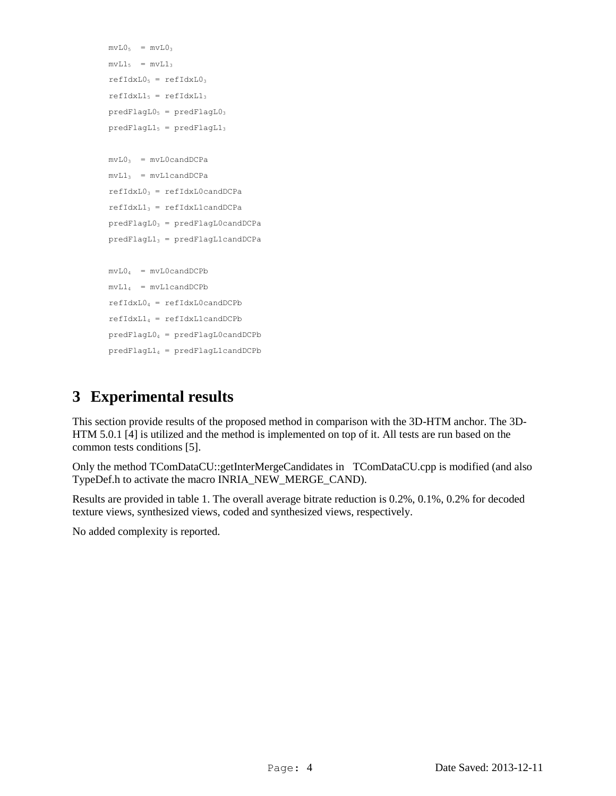```
mvL0_5 = mvL0_3mvL1<sub>5</sub> = mvL1<sub>3</sub>refIdxL0<sub>5</sub> = refIdxL0<sub>3</sub>refIdxL1<sub>5</sub> = refIdxL1<sub>3</sub>predFlagL0<sub>5</sub> = predFlagL0<sub>3</sub>predFlagL1<sub>5</sub> = predFlagL1<sub>3</sub>mvL0_3 = mvL0candDCPamvL1_3 = mvL1candDCParefIdxL0<sub>3</sub> = refIdxL0candDCParefIdxL1_3 = refIdxL1candDCPapredFlagL0<sub>3</sub> = predFlagL0candDCPapredFlagL1<sub>3</sub> = predFlagL1candDCPamvL0<sub>4</sub> = mvL0candDCPbmvL1_4 = mvL1candDCPbrefIdxL0<sub>4</sub> = refIdxL0candDCPbrefIdxL1<sub>4</sub> = refIdxL1candDCPbpredFlagL04 = predFlagL0candDCPb
predFlagL1<sub>4</sub> = predFlagL1candDCPb
```
### **3 Experimental results**

This section provide results of the proposed method in comparison with the 3D-HTM anchor. The 3D-HTM 5.0.1 [\[4\]](#page-5-2) is utilized and the method is implemented on top of it. All tests are run based on the common tests conditions [\[5\].](#page-5-3)

Only the method TComDataCU::getInterMergeCandidates in TComDataCU.cpp is modified (and also TypeDef.h to activate the macro INRIA\_NEW\_MERGE\_CAND).

Results are provided in table 1. The overall average bitrate reduction is 0.2%, 0.1%, 0.2% for decoded texture views, synthesized views, coded and synthesized views, respectively.

No added complexity is reported.